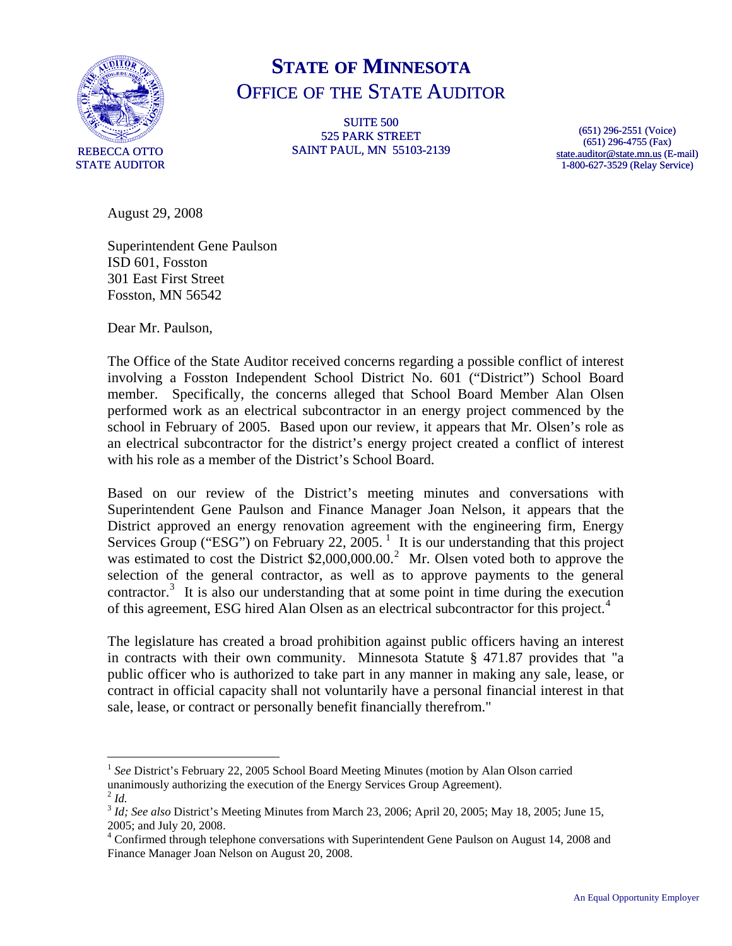

## **STATE OF MINNESOTA** OFFICE OF THE STATE AUDITOR

SUITE 500 525 PARK STREET SAINT PAUL, MN 55103-2139

(651) 296-2551 (Voice) (651) 296-4755 (Fax) [state.auditor@state.mn.us](mailto:state.auditor@state.mn.us) (E-mail) 1-800-627-3529 (Relay Service)

August 29, 2008

Superintendent Gene Paulson ISD 601, Fosston 301 East First Street Fosston, MN 56542

Dear Mr. Paulson,

The Office of the State Auditor received concerns regarding a possible conflict of interest involving a Fosston Independent School District No. 601 ("District") School Board member. Specifically, the concerns alleged that School Board Member Alan Olsen performed work as an electrical subcontractor in an energy project commenced by the school in February of 2005. Based upon our review, it appears that Mr. Olsen's role as an electrical subcontractor for the district's energy project created a conflict of interest with his role as a member of the District's School Board.

Based on our review of the District's meeting minutes and conversations with Superintendent Gene Paulson and Finance Manager Joan Nelson, it appears that the District approved an energy renovation agreement with the engineering firm, Energy Services Group ("ESG") on February 22, 2005.<sup>[1](#page-0-0)</sup> It is our understanding that this project was estimated to cost the District \$[2](#page-0-1),000,000.00.<sup>2</sup> Mr. Olsen voted both to approve the selection of the general contractor, as well as to approve payments to the general  $\arctan^3$  $\arctan^3$  It is also our understanding that at some point in time during the execution of this agreement, ESG hired Alan Olsen as an electrical subcontractor for this project.<sup>[4](#page-0-3)</sup>

The legislature has created a broad prohibition against public officers having an interest in contracts with their own community. Minnesota Statute  $\S$  471.87 provides that "a public officer who is authorized to take part in any manner in making any sale, lease, or contract in official capacity shall not voluntarily have a personal financial interest in that sale, lease, or contract or personally benefit financially therefrom."

<u>.</u>

<span id="page-0-0"></span><sup>&</sup>lt;sup>1</sup> See District's February 22, 2005 School Board Meeting Minutes (motion by Alan Olson carried unanimously authorizing the execution of the Energy Services Group Agreement).

<span id="page-0-1"></span> $^2$  *Id.* 

<span id="page-0-2"></span><sup>3</sup> *Id; See also* District's Meeting Minutes from March 23, 2006; April 20, 2005; May 18, 2005; June 15, 2005; and July 20, 2008.

<span id="page-0-3"></span><sup>&</sup>lt;sup>4</sup> Confirmed through telephone conversations with Superintendent Gene Paulson on August 14, 2008 and Finance Manager Joan Nelson on August 20, 2008.